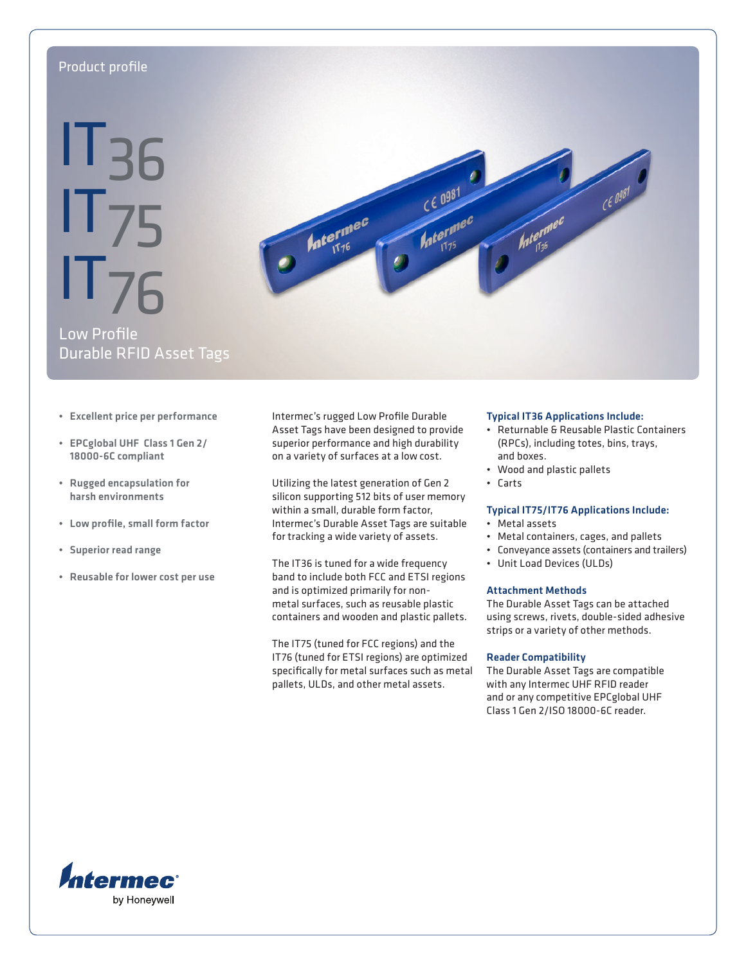# Product profile

# **IT<sub>36</sub>** IT75 IT76



Low Profile Durable RFID Asset Tags

- Excellent price per performance
- EPCglobal UHF Class 1 Gen 2/ 18000-6C compliant
- Rugged encapsulation for harsh environments
- Low profile, small form factor
- Superior read range
- Reusable for lower cost per use

Intermec's rugged Low Profile Durable Asset Tags have been designed to provide superior performance and high durability on a variety of surfaces at a low cost.

Utilizing the latest generation of Gen 2 silicon supporting 512 bits of user memory within a small, durable form factor, Intermec's Durable Asset Tags are suitable for tracking a wide variety of assets.

The IT36 is tuned for a wide frequency band to include both FCC and ETSI regions and is optimized primarily for nonmetal surfaces, such as reusable plastic containers and wooden and plastic pallets.

The IT75 (tuned for FCC regions) and the IT76 (tuned for ETSI regions) are optimized specifically for metal surfaces such as metal pallets, ULDs, and other metal assets.

#### Typical IT36 Applications Include:

- Returnable & Reusable Plastic Containers (RPCs), including totes, bins, trays, and boxes.
- Wood and plastic pallets
- Carts

## Typical IT75/IT76 Applications Include:

- Metal assets
- Metal containers, cages, and pallets
- Conveyance assets (containers and trailers)
- Unit Load Devices (ULDs)

#### Attachment Methods

The Durable Asset Tags can be attached using screws, rivets, double-sided adhesive strips or a variety of other methods.

#### Reader Compatibility

The Durable Asset Tags are compatible with any Intermec UHF RFID reader and or any competitive EPCglobal UHF Class 1 Gen 2/ISO 18000-6C reader.